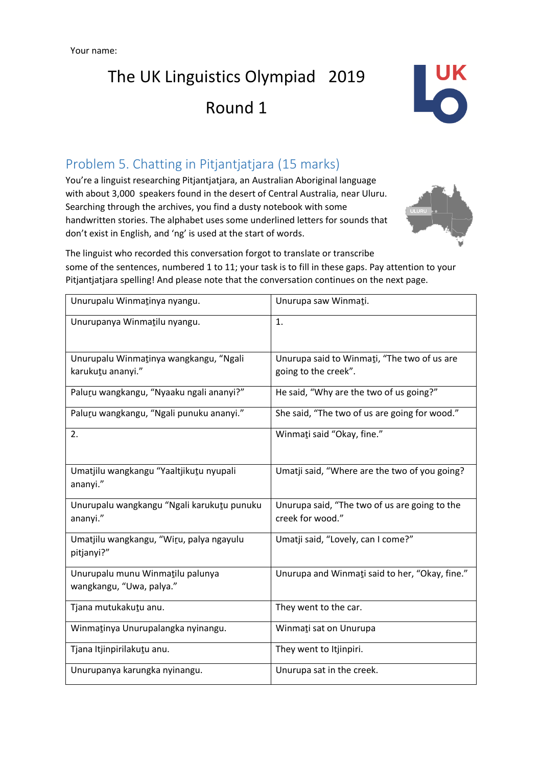

## Problem 5. Chatting in Pitjantjatjara (15 marks)

You're a linguist researching Pitjantjatjara, an Australian Aboriginal language with about 3,000 speakers found in the desert of Central Australia, near Uluru. Searching through the archives, you find a dusty notebook with some handwritten stories. The alphabet uses some underlined letters for sounds that don't exist in English, and 'ng' is used at the start of words.



The linguist who recorded this conversation forgot to translate or transcribe some of the sentences, numbered 1 to 11; your task is to fill in these gaps. Pay attention to your Pitjantjatjara spelling! And please note that the conversation continues on the next page.

| Unurupalu Winmatinya nyangu.                                 | Unurupa saw Winmati.                                                |  |
|--------------------------------------------------------------|---------------------------------------------------------------------|--|
| Unurupanya Winmatilu nyangu.                                 | 1.                                                                  |  |
| Unurupalu Winmatinya wangkangu, "Ngali<br>karukutu ananyi."  | Unurupa said to Winmati, "The two of us are<br>going to the creek". |  |
| Paluru wangkangu, "Nyaaku ngali ananyi?"                     | He said, "Why are the two of us going?"                             |  |
| Paluru wangkangu, "Ngali punuku ananyi."                     | She said, "The two of us are going for wood."                       |  |
| 2.                                                           | Winmati said "Okay, fine."                                          |  |
| Umatjilu wangkangu "Yaaltjikutu nyupali<br>ananyi."          | Umatji said, "Where are the two of you going?                       |  |
| Unurupalu wangkangu "Ngali karukutu punuku<br>ananyi."       | Unurupa said, "The two of us are going to the<br>creek for wood."   |  |
| Umatjilu wangkangu, "Wiru, palya ngayulu<br>pitjanyi?"       | Umatji said, "Lovely, can I come?"                                  |  |
| Unurupalu munu Winmatilu palunya<br>wangkangu, "Uwa, palya." | Unurupa and Winmati said to her, "Okay, fine."                      |  |
| Tjana mutukakutu anu.                                        | They went to the car.                                               |  |
| Winmatinya Unurupalangka nyinangu.                           | Winmati sat on Unurupa                                              |  |
| Tjana Itjinpirilakutu anu.                                   | They went to Itjinpiri.                                             |  |
| Unurupanya karungka nyinangu.                                | Unurupa sat in the creek.                                           |  |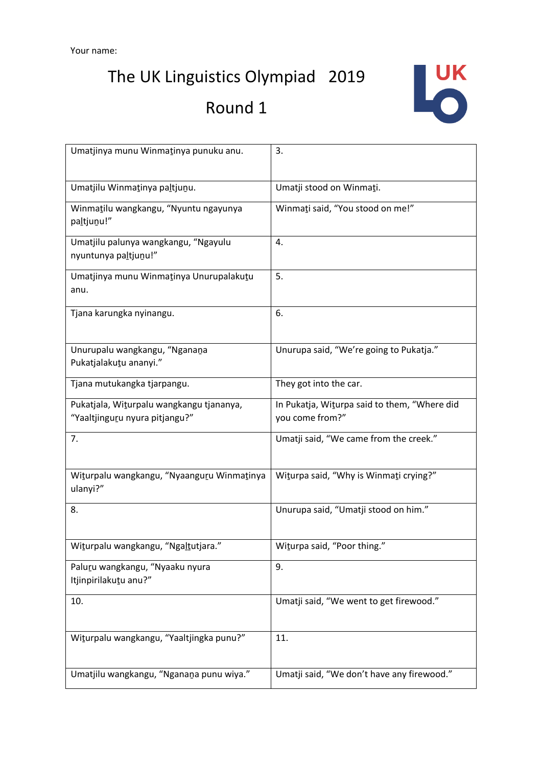The UK Linguistics Olympiad 2019

# Round 1



| Umatjinya munu Winmatinya punuku anu.                                      | 3.                                                              |  |
|----------------------------------------------------------------------------|-----------------------------------------------------------------|--|
| Umatjilu Winmatinya paltjunu.                                              | Umatji stood on Winmati.                                        |  |
| Winmatilu wangkangu, "Nyuntu ngayunya<br>paltjunu!"                        | Winmati said, "You stood on me!"                                |  |
| Umatjilu palunya wangkangu, "Ngayulu<br>nyuntunya paltjunu!"               | 4.                                                              |  |
| Umatjinya munu Winmatinya Unurupalakutu<br>anu.                            | 5.                                                              |  |
| Tjana karungka nyinangu.                                                   | 6.                                                              |  |
| Unurupalu wangkangu, "Nganana<br>Pukatjalakutu ananyi."                    | Unurupa said, "We're going to Pukatja."                         |  |
| Tjana mutukangka tjarpangu.                                                | They got into the car.                                          |  |
| Pukatjala, Witurpalu wangkangu tjananya,<br>"Yaaltjinguru nyura pitjangu?" | In Pukatja, Witurpa said to them, "Where did<br>you come from?" |  |
| 7.                                                                         | Umatji said, "We came from the creek."                          |  |
| Witurpalu wangkangu, "Nyaanguru Winmatinya<br>ulanyi?"                     | Witurpa said, "Why is Winmati crying?"                          |  |
| 8.                                                                         | Unurupa said, "Umatji stood on him."                            |  |
| Witurpalu wangkangu, "Ngaltutjara."                                        | Witurpa said, "Poor thing."                                     |  |
| Paluru wangkangu, "Nyaaku nyura<br>Itjinpirilakutu anu?"                   | 9.                                                              |  |
| 10.                                                                        | Umatji said, "We went to get firewood."                         |  |
| Witurpalu wangkangu, "Yaaltjingka punu?"                                   | 11.                                                             |  |
| Umatjilu wangkangu, "Nganana punu wiya."                                   | Umatji said, "We don't have any firewood."                      |  |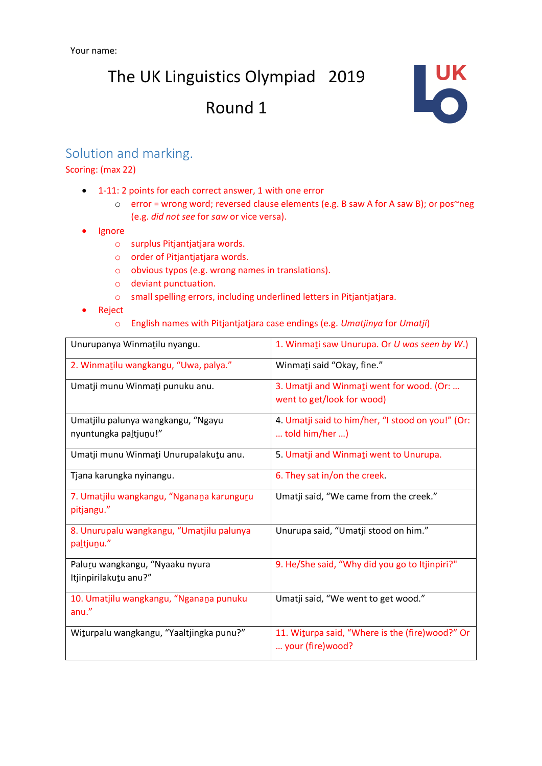

### Solution and marking.

#### Scoring: (max 22)

- 1-11: 2 points for each correct answer, 1 with one error
	- o error = wrong word; reversed clause elements (e.g. B saw A for A saw B); or pos~neg (e.g. *did not see* for *saw* or vice versa).
- Ignore
	- o surplus Pitjantjatjara words.
	- o order of Pitjantjatjara words.
	- o obvious typos (e.g. wrong names in translations).
	- o deviant punctuation.
	- o small spelling errors, including underlined letters in Pitjantjatjara.
- Reject
	- o English names with Pitjantjatjara case endings (e.g. *Umatjinya* for *Umatji*)

| Unurupanya Winmatilu nyangu.                                | 1. Winmati saw Unurupa. Or U was seen by W.)                            |  |
|-------------------------------------------------------------|-------------------------------------------------------------------------|--|
| 2. Winmatilu wangkangu, "Uwa, palya."                       | Winmati said "Okay, fine."                                              |  |
| Umatji munu Winmati punuku anu.                             | 3. Umatji and Winmati went for wood. (Or:<br>went to get/look for wood) |  |
| Umatjilu palunya wangkangu, "Ngayu<br>nyuntungka paltjunu!" | 4. Umatji said to him/her, "I stood on you!" (Or:<br>told him/her )     |  |
| Umatji munu Winmati Unurupalakutu anu.                      | 5. Umatji and Winmati went to Unurupa.                                  |  |
| Tjana karungka nyinangu.                                    | 6. They sat in/on the creek.                                            |  |
| 7. Umatjilu wangkangu, "Nganana karunguru<br>pitjangu."     | Umatji said, "We came from the creek."                                  |  |
| 8. Unurupalu wangkangu, "Umatjilu palunya<br>paltjunu."     | Unurupa said, "Umatji stood on him."                                    |  |
| Paluru wangkangu, "Nyaaku nyura<br>Itjinpirilakutu anu?"    | 9. He/She said, "Why did you go to Itjinpiri?"                          |  |
| 10. Umatjilu wangkangu, "Nganana punuku<br>anu."            | Umatji said, "We went to get wood."                                     |  |
| Witurpalu wangkangu, "Yaaltjingka punu?"                    | 11. Witurpa said, "Where is the (fire)wood?" Or<br>your (fire) wood?    |  |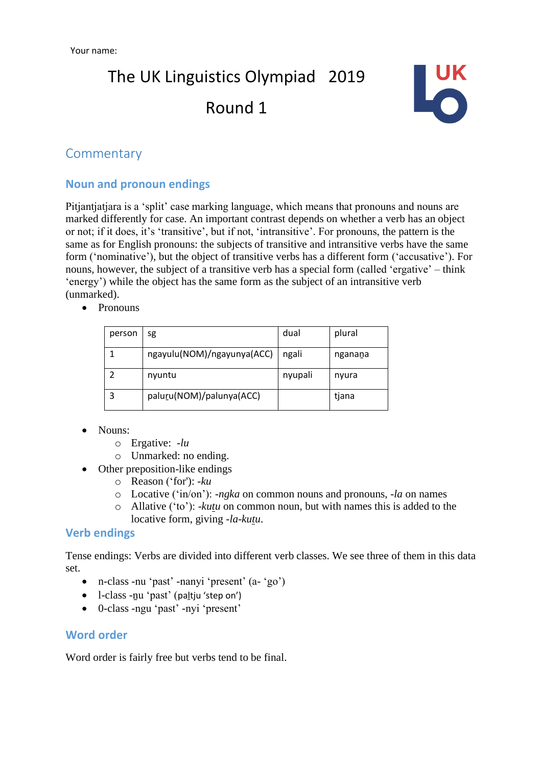

### **Commentary**

### **Noun and pronoun endings**

Pitjantjatjara is a 'split' case marking language, which means that pronouns and nouns are marked differently for case. An important contrast depends on whether a verb has an object or not; if it does, it's 'transitive', but if not, 'intransitive'. For pronouns, the pattern is the same as for English pronouns: the subjects of transitive and intransitive verbs have the same form ('nominative'), but the object of transitive verbs has a different form ('accusative'). For nouns, however, the subject of a transitive verb has a special form (called 'ergative' – think 'energy') while the object has the same form as the subject of an intransitive verb (unmarked).

• Pronouns

| person | sg                         | dual    | plural  |
|--------|----------------------------|---------|---------|
|        | ngayulu(NOM)/ngayunya(ACC) | ngali   | nganana |
|        | nyuntu                     | nyupali | nyura   |
|        | paluru(NOM)/palunya(ACC)   |         | tjana   |

- Nouns:
	- o Ergative: *-lu*
	- o Unmarked: no ending.
- Other preposition-like endings
	- o Reason ('for'): *-ku*
	- o Locative ('in/on'): *-ngka* on common nouns and pronouns, *-la* on names
	- o Allative ('to'): *-kutu* on common noun, but with names this is added to the locative form, giving *-la-kutu*.

#### **Verb endings**

Tense endings: Verbs are divided into different verb classes. We see three of them in this data set.

- n-class -nu 'past' -nanyi 'present' (a- 'go')
- l-class -ṉu 'past' (paḻtju 'step on')
- 0-class -ngu 'past' -nyi 'present'

#### **Word order**

Word order is fairly free but verbs tend to be final.